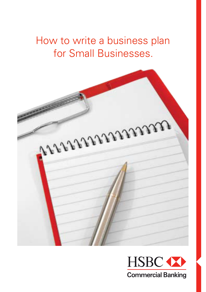How to write a business plan for Small Businesses.



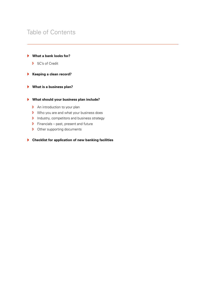## Table of Contents

### **What a bank looks for?**

- ▶ 5C's of Credit
- **Keeping a clean record?**
- **What is a business plan?**

#### **What should your business plan include?**

- $\triangleright$  An introduction to your plan
- $\triangleright$  Who you are and what your business does
- $\triangleright$  Industry, competitors and business strategy
- $\triangleright$  Financials past, present and future
- **D** Other supporting documents

### **Checklist for application of new banking facilities**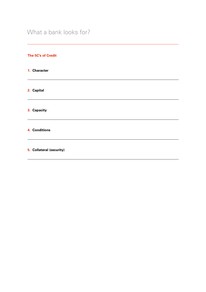## What a bank looks for?

<u> 1989 - Johann Stoff, amerikansk politiker (d. 1989)</u>

#### **The 5C's of Credit**

**1. Character**

**2. Capital**

**3. Capacity**

**4. Conditions**

**5. Collateral (security)**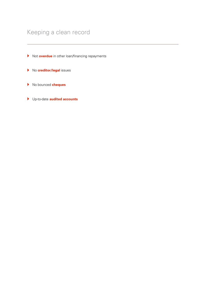# Keeping a clean record

- Not **overdue** in other loan/financing repayments
- No **creditor/legal** issues
- No bounced **cheques**
- Up-to-date **audited accounts**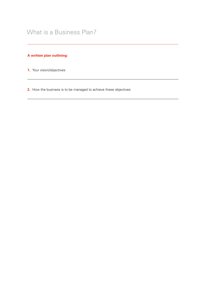### **A written plan outlining:**

- **1.** Your vision/objectives
- **2.** How the business is to be managed to achieve these objectives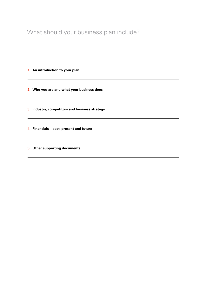**1. An introduction to your plan**

**2. Who you are and what your business does**

**3. Industry, competitors and business strategy**

**4. Financials – past, present and future**

**5. Other supporting documents**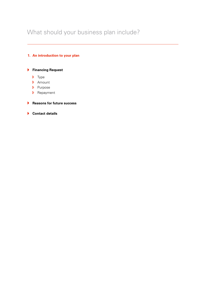### **1. An introduction to your plan**

### **Financing Request**

- $\triangleright$  Type
- Amount
- **Purpose**
- **D** Repayment

#### **Reasons for future success**

 **Contact details**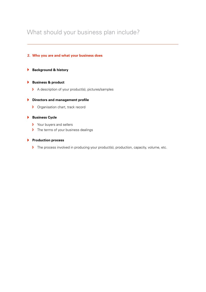#### **2. Who you are and what your business does**

#### **Background & history**

#### **Business & product**

 $\triangleright$  A description of your product(s), pictures/samples

#### **Directors and management profile**

**D** Organisation chart, track record

#### **Business Cycle**

- $\triangleright$  Your buyers and sellers
- $\triangleright$  The terms of your business dealings

#### **Production process**

The process involved in producing your product(s), production, capacity, volume, etc.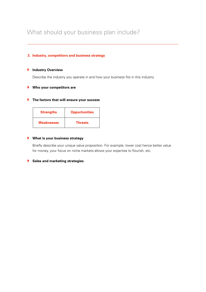#### **3. Industry, competitors and business strategy**

#### **Industry Overview**

Describe the industry you operate in and how your business fits in this industry

#### **Who your competitors are**

#### **The factors that will ensure your success**

| <b>Strengths</b>  | <b>Opportunities</b> |
|-------------------|----------------------|
| <b>Weaknesses</b> | <b>Threats</b>       |

#### **What is your business strategy**

Briefly describe your unique value proposition. For example, lower cost hence better value for money, your focus on niche markets allows your expertise to flourish, etc.

#### **Sales and marketing strategies**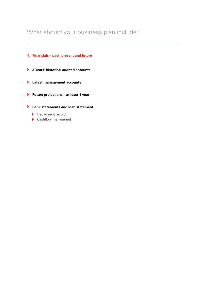#### **4. Financials – past, present and future**

- **3 Years' historical audited accounts**
- **Latest management accounts**
- **Future projections – at least 1 year**
- **Bank statements and loan statement**
	- **D** Repayment record
	- ▶ Cashflow managemnt